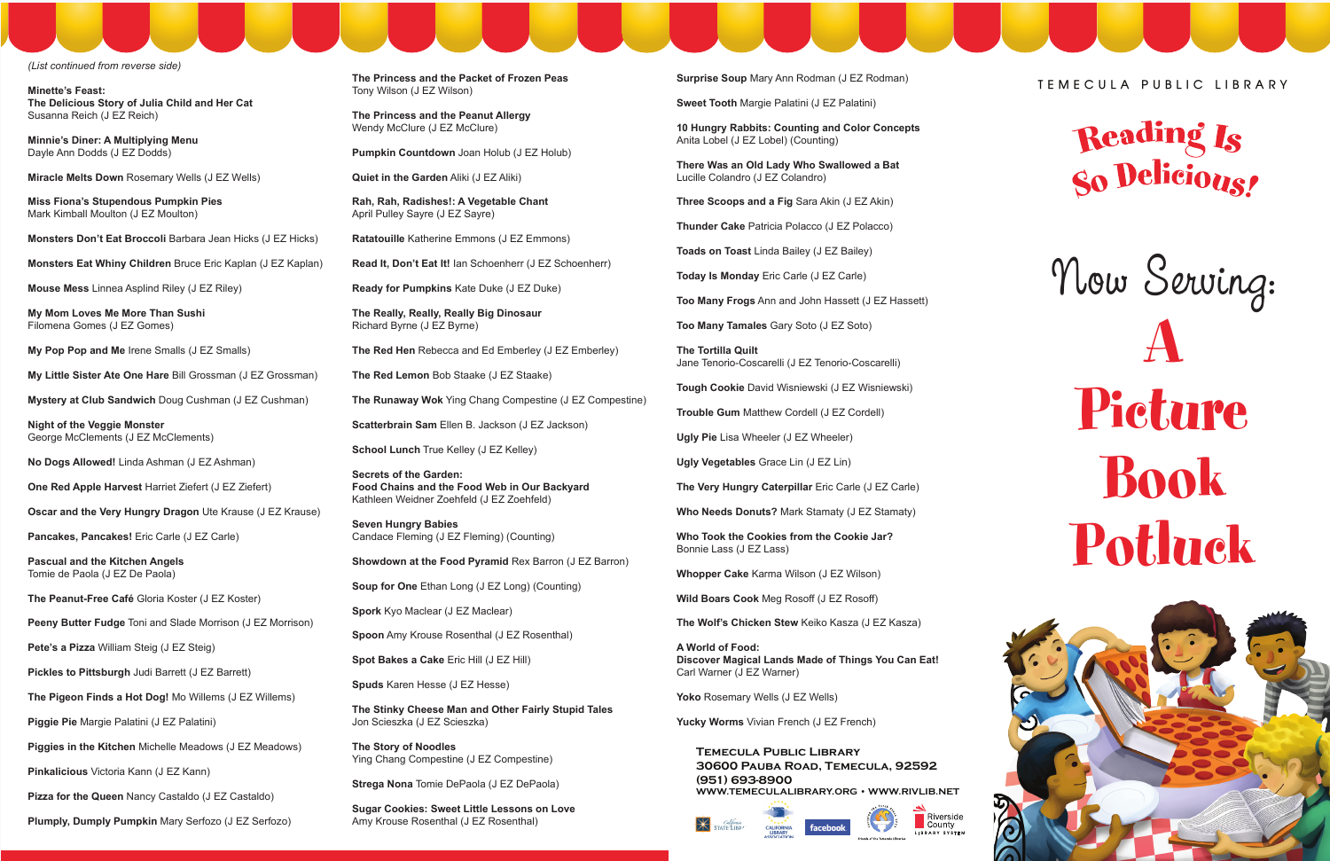*(List continued from reverse side)*

**Minette's Feast: The Delicious Story of Julia Child and Her Cat**  Susanna Reich (J EZ Reich)

**Minnie's Diner: A Multiplying Menu** Dayle Ann Dodds (J EZ Dodds)

**Miracle Melts Down** Rosemary Wells (J EZ Wells)

**Miss Fiona's Stupendous Pumpkin Pies** Mark Kimball Moulton (J EZ Moulton)

**Monsters Don't Eat Broccoli** Barbara Jean Hicks (J EZ Hicks)

**Monsters Eat Whiny Children** Bruce Eric Kaplan (J EZ Kaplan)

**Mouse Mess** Linnea Asplind Riley (J EZ Riley)

**My Mom Loves Me More Than Sushi** Filomena Gomes (J EZ Gomes)

**My Pop Pop and Me** Irene Smalls (J EZ Smalls)

**My Little Sister Ate One Hare** Bill Grossman (J EZ Grossman)

**Mystery at Club Sandwich** Doug Cushman (J EZ Cushman)

**Night of the Veggie Monster** George McClements (J EZ McClements)

**No Dogs Allowed!** Linda Ashman (J EZ Ashman)

**The Princess and the Peanut Allergy**  Wendy McClure (J EZ McClure)

**One Red Apple Harvest** Harriet Ziefert (J EZ Ziefert)

**Oscar and the Very Hungry Dragon** Ute Krause (J EZ Krause)

**Pancakes, Pancakes!** Eric Carle (J EZ Carle)

**Pascual and the Kitchen Angels** Tomie de Paola (J EZ De Paola)

**The Peanut-Free Café** Gloria Koster (J EZ Koster)

**Peeny Butter Fudge** Toni and Slade Morrison (J EZ Morrison)

**Pete's a Pizza** William Steig (J EZ Steig)

**Pickles to Pittsburgh Judi Barrett (J EZ Barrett)** 

**The Pigeon Finds a Hot Dog!** Mo Willems (J EZ Willems)

**Piggie Pie** Margie Palatini (J EZ Palatini)

**Piggies in the Kitchen** Michelle Meadows (J EZ Meadows)

**Pinkalicious** Victoria Kann (J EZ Kann)

**Pizza for the Queen** Nancy Castaldo (J EZ Castaldo)

**Plumply, Dumply Pumpkin** Mary Serfozo (J EZ Serfozo)

**The Princess and the Packet of Frozen Peas** Tony Wilson (J EZ Wilson)

**Pumpkin Countdown** Joan Holub (J EZ Holub)

**Quiet in the Garden** Aliki (J EZ Aliki)

**Rah, Rah, Radishes!: A Vegetable Chant** April Pulley Sayre (J EZ Sayre)

**Ratatouille** Katherine Emmons (J EZ Emmons)

**Read It, Don't Eat It!** Ian Schoenherr (J EZ Schoenherr)

**Ready for Pumpkins** Kate Duke (J EZ Duke)

**The Really, Really, Really Big Dinosaur** Richard Byrne (J EZ Byrne)

**The Red Hen** Rebecca and Ed Emberley (J EZ Emberley)

**The Red Lemon** Bob Staake (J EZ Staake)

**The Runaway Wok** Ying Chang Compestine (J EZ Compestine)

**Scatterbrain Sam** Ellen B. Jackson (J EZ Jackson)

**School Lunch** True Kelley (J EZ Kelley)

**Secrets of the Garden: Food Chains and the Food Web in Our Backyard**  Kathleen Weidner Zoehfeld (J EZ Zoehfeld)

**Seven Hungry Babies** Candace Fleming (J EZ Fleming) (Counting)

**Showdown at the Food Pyramid** Rex Barron (J EZ Barron)

**Soup for One** Ethan Long (J EZ Long) (Counting)

**Spork** Kyo Maclear (J EZ Maclear)

**Spoon** Amy Krouse Rosenthal (J EZ Rosenthal)

**Spot Bakes a Cake** Eric Hill (J EZ Hill)

**Spuds** Karen Hesse (J EZ Hesse)

**The Stinky Cheese Man and Other Fairly Stupid Tales**  Jon Scieszka (J EZ Scieszka)

**The Story of Noodles** Ying Chang Compestine (J EZ Compestine)

**Strega Nona** Tomie DePaola (J EZ DePaola)

**Sugar Cookies: Sweet Little Lessons on Love**  Amy Krouse Rosenthal (J EZ Rosenthal)

**Surprise Soup** Mary Ann Rodman (J EZ Rodman)

**Sweet Tooth** Margie Palatini (J EZ Palatini)

**10 Hungry Rabbits: Counting and Color Concepts**  Anita Lobel (J EZ Lobel) (Counting)

**There Was an Old Lady Who Swallowed a Bat**  Lucille Colandro (J EZ Colandro)

**Three Scoops and a Fig** Sara Akin (J EZ Akin)

**Thunder Cake** Patricia Polacco (J EZ Polacco)

**Toads on Toast** Linda Bailey (J EZ Bailey)

**Today Is Monday** Eric Carle (J EZ Carle)

**Too Many Frogs** Ann and John Hassett (J EZ Hassett)

**Too Many Tamales** Gary Soto (J EZ Soto)

**The Tortilla Quilt** Jane Tenorio-Coscarelli (J EZ Tenorio-Coscarelli)

**Tough Cookie** David Wisniewski (J EZ Wisniewski)

**Trouble Gum** Matthew Cordell (J EZ Cordell)

**Ugly Pie** Lisa Wheeler (J EZ Wheeler)

**Ugly Vegetables** Grace Lin (J EZ Lin)

**The Very Hungry Caterpillar** Eric Carle (J EZ Carle)

**Who Needs Donuts?** Mark Stamaty (J EZ Stamaty)

**Who Took the Cookies from the Cookie Jar?** Bonnie Lass (J EZ Lass)

**Whopper Cake** Karma Wilson (J EZ Wilson)

**Wild Boars Cook** Meg Rosoff (J EZ Rosoff)

**The Wolf's Chicken Stew** Keiko Kasza (J EZ Kasza)

**A World of Food: Discover Magical Lands Made of Things You Can Eat!**  Carl Warner (J EZ Warner)

Yoko Rosemary Wells (J EZ Wells)

**Yucky Worms** Vivian French (J EZ French)

**Temecula Public Library 30600 Pauba Road, Temecula, 92592 (951) 693-8900 WWW.TEMECULALIBRARY.ORG • WWW.RIVLIB.NET**



**TEMECULA PUBLIC LIBRARY**



## Now Serving: A Picture Book Potluck